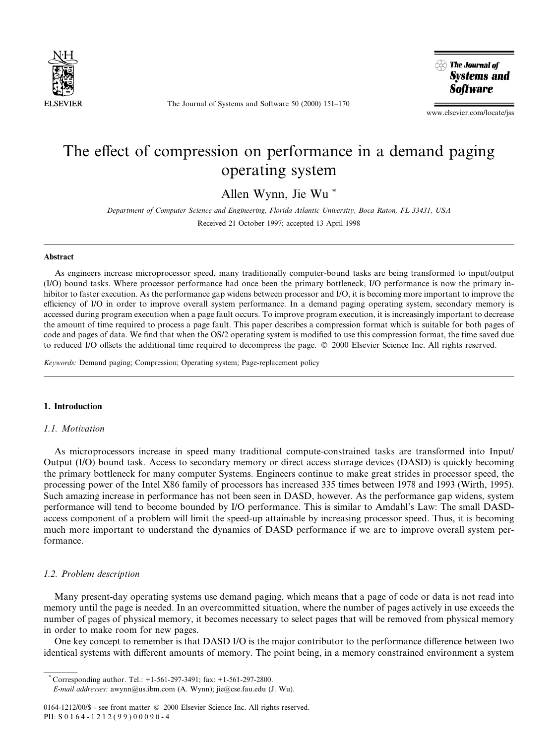

The Journal of Systems and Software  $50$  (2000)  $151-170$ 



www.elsevier.com/locate/jss

# The effect of compression on performance in a demand paging operating system

Allen Wynn, Jie Wu \*

Department of Computer Science and Engineering, Florida Atlantic University, Boca Raton, FL 33431, USA Received 21 October 1997; accepted 13 April 1998

#### Abstract

As engineers increase microprocessor speed, many traditionally computer-bound tasks are being transformed to input/output (I/O) bound tasks. Where processor performance had once been the primary bottleneck, I/O performance is now the primary inhibitor to faster execution. As the performance gap widens between processor and I/O, it is becoming more important to improve the efficiency of I/O in order to improve overall system performance. In a demand paging operating system, secondary memory is accessed during program execution when a page fault occurs. To improve program execution, it is increasingly important to decrease the amount of time required to process a page fault. This paper describes a compression format which is suitable for both pages of code and pages of data. We find that when the OS/2 operating system is modified to use this compression format, the time saved due to reduced I/O offsets the additional time required to decompress the page.  $\circ$  2000 Elsevier Science Inc. All rights reserved.

Keywords: Demand paging; Compression; Operating system; Page-replacement policy

# 1. Introduction

# 1.1. Motivation

As microprocessors increase in speed many traditional compute-constrained tasks are transformed into Input/ Output (I/O) bound task. Access to secondary memory or direct access storage devices (DASD) is quickly becoming the primary bottleneck for many computer Systems. Engineers continue to make great strides in processor speed, the processing power of the Intel X86 family of processors has increased 335 times between 1978 and 1993 (Wirth, 1995). Such amazing increase in performance has not been seen in DASD, however. As the performance gap widens, system performance will tend to become bounded by I/O performance. This is similar to Amdahl's Law: The small DASDaccess component of a problem will limit the speed-up attainable by increasing processor speed. Thus, it is becoming much more important to understand the dynamics of DASD performance if we are to improve overall system performance.

# 1.2. Problem description

Many present-day operating systems use demand paging, which means that a page of code or data is not read into memory until the page is needed. In an overcommitted situation, where the number of pages actively in use exceeds the number of pages of physical memory, it becomes necessary to select pages that will be removed from physical memory in order to make room for new pages.

One key concept to remember is that DASD I/O is the major contributor to the performance difference between two identical systems with different amounts of memory. The point being, in a memory constrained environment a system

PII: S 0164-1212(99)00090-4

<sup>\*</sup> Corresponding author. Tel.: +1-561-297-3491; fax: +1-561-297-2800. E-mail addresses: awynn@us.ibm.com (A. Wynn); jie@cse.fau.edu (J. Wu).

<sup>0164-1212/00/\$ -</sup> see front matter © 2000 Elsevier Science Inc. All rights reserved.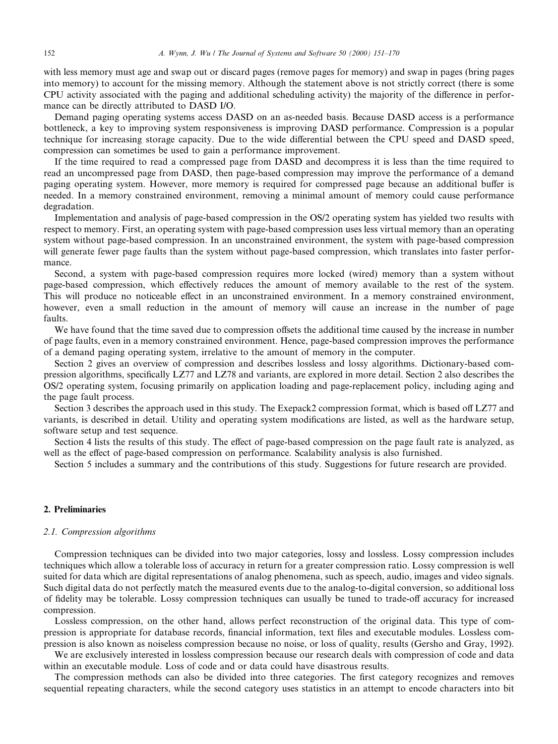with less memory must age and swap out or discard pages (remove pages for memory) and swap in pages (bring pages into memory) to account for the missing memory. Although the statement above is not strictly correct (there is some CPU activity associated with the paging and additional scheduling activity) the majority of the difference in performance can be directly attributed to DASD I/O.

Demand paging operating systems access DASD on an as-needed basis. Because DASD access is a performance bottleneck, a key to improving system responsiveness is improving DASD performance. Compression is a popular technique for increasing storage capacity. Due to the wide differential between the CPU speed and DASD speed, compression can sometimes be used to gain a performance improvement.

If the time required to read a compressed page from DASD and decompress it is less than the time required to read an uncompressed page from DASD, then page-based compression may improve the performance of a demand paging operating system. However, more memory is required for compressed page because an additional buffer is needed. In a memory constrained environment, removing a minimal amount of memory could cause performance degradation.

Implementation and analysis of page-based compression in the OS/2 operating system has yielded two results with respect to memory. First, an operating system with page-based compression uses less virtual memory than an operating system without page-based compression. In an unconstrained environment, the system with page-based compression will generate fewer page faults than the system without page-based compression, which translates into faster performance.

Second, a system with page-based compression requires more locked (wired) memory than a system without page-based compression, which effectively reduces the amount of memory available to the rest of the system. This will produce no noticeable effect in an unconstrained environment. In a memory constrained environment, however, even a small reduction in the amount of memory will cause an increase in the number of page faults.

We have found that the time saved due to compression offsets the additional time caused by the increase in number of page faults, even in a memory constrained environment. Hence, page-based compression improves the performance of a demand paging operating system, irrelative to the amount of memory in the computer.

Section 2 gives an overview of compression and describes lossless and lossy algorithms. Dictionary-based compression algorithms, specifically LZ77 and LZ78 and variants, are explored in more detail. Section 2 also describes the OS/2 operating system, focusing primarily on application loading and page-replacement policy, including aging and the page fault process.

Section 3 describes the approach used in this study. The Exepack2 compression format, which is based off LZ77 and variants, is described in detail. Utility and operating system modifications are listed, as well as the hardware setup, software setup and test sequence.

Section 4 lists the results of this study. The effect of page-based compression on the page fault rate is analyzed, as well as the effect of page-based compression on performance. Scalability analysis is also furnished.

Section 5 includes a summary and the contributions of this study. Suggestions for future research are provided.

### 2. Preliminaries

### 2.1. Compression algorithms

Compression techniques can be divided into two major categories, lossy and lossless. Lossy compression includes techniques which allow a tolerable loss of accuracy in return for a greater compression ratio. Lossy compression is well suited for data which are digital representations of analog phenomena, such as speech, audio, images and video signals. Such digital data do not perfectly match the measured events due to the analog-to-digital conversion, so additional loss of fidelity may be tolerable. Lossy compression techniques can usually be tuned to trade-off accuracy for increased compression.

Lossless compression, on the other hand, allows perfect reconstruction of the original data. This type of compression is appropriate for database records, financial information, text files and executable modules. Lossless compression is also known as noiseless compression because no noise, or loss of quality, results (Gersho and Gray, 1992).

We are exclusively interested in lossless compression because our research deals with compression of code and data within an executable module. Loss of code and or data could have disastrous results.

The compression methods can also be divided into three categories. The first category recognizes and removes sequential repeating characters, while the second category uses statistics in an attempt to encode characters into bit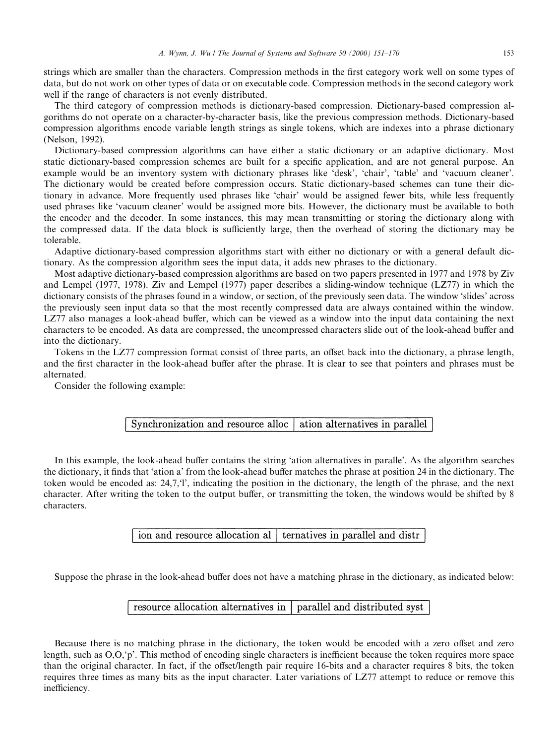strings which are smaller than the characters. Compression methods in the first category work well on some types of data, but do not work on other types of data or on executable code. Compression methods in the second category work well if the range of characters is not evenly distributed.

The third category of compression methods is dictionary-based compression. Dictionary-based compression algorithms do not operate on a character-by-character basis, like the previous compression methods. Dictionary-based compression algorithms encode variable length strings as single tokens, which are indexes into a phrase dictionary (Nelson, 1992).

Dictionary-based compression algorithms can have either a static dictionary or an adaptive dictionary. Most static dictionary-based compression schemes are built for a specific application, and are not general purpose. An example would be an inventory system with dictionary phrases like 'desk', 'chair', 'table' and 'vacuum cleaner'. The dictionary would be created before compression occurs. Static dictionary-based schemes can tune their dictionary in advance. More frequently used phrases like `chair' would be assigned fewer bits, while less frequently used phrases like `vacuum cleaner' would be assigned more bits. However, the dictionary must be available to both the encoder and the decoder. In some instances, this may mean transmitting or storing the dictionary along with the compressed data. If the data block is sufficiently large, then the overhead of storing the dictionary may be tolerable.

Adaptive dictionary-based compression algorithms start with either no dictionary or with a general default dictionary. As the compression algorithm sees the input data, it adds new phrases to the dictionary.

Most adaptive dictionary-based compression algorithms are based on two papers presented in 1977 and 1978 by Ziv and Lempel (1977, 1978). Ziv and Lempel (1977) paper describes a sliding-window technique (LZ77) in which the dictionary consists of the phrases found in a window, or section, of the previously seen data. The window 'slides' across the previously seen input data so that the most recently compressed data are always contained within the window. LZ77 also manages a look-ahead buffer, which can be viewed as a window into the input data containing the next characters to be encoded. As data are compressed, the uncompressed characters slide out of the look-ahead buffer and into the dictionary.

Tokens in the LZ77 compression format consist of three parts, an offset back into the dictionary, a phrase length, and the first character in the look-ahead buffer after the phrase. It is clear to see that pointers and phrases must be alternated.

Consider the following example:

#### Synchronization and resource alloc ation alternatives in parallel

In this example, the look-ahead buffer contains the string 'ation alternatives in paralle'. As the algorithm searches the dictionary, it finds that 'ation a' from the look-ahead buffer matches the phrase at position 24 in the dictionary. The token would be encoded as:  $24.7$ ,  $\ddot{\textbf{i}}$ , indicating the position in the dictionary, the length of the phrase, and the next character. After writing the token to the output buffer, or transmitting the token, the windows would be shifted by 8 characters.

> ion and resource allocation al ternatives in parallel and distr

Suppose the phrase in the look-ahead buffer does not have a matching phrase in the dictionary, as indicated below:

#### resource allocation alternatives in parallel and distributed syst

Because there is no matching phrase in the dictionary, the token would be encoded with a zero offset and zero length, such as  $O, O, p'$ . This method of encoding single characters is inefficient because the token requires more space than the original character. In fact, if the offset/length pair require 16-bits and a character requires 8 bits, the token requires three times as many bits as the input character. Later variations of LZ77 attempt to reduce or remove this inefficiency.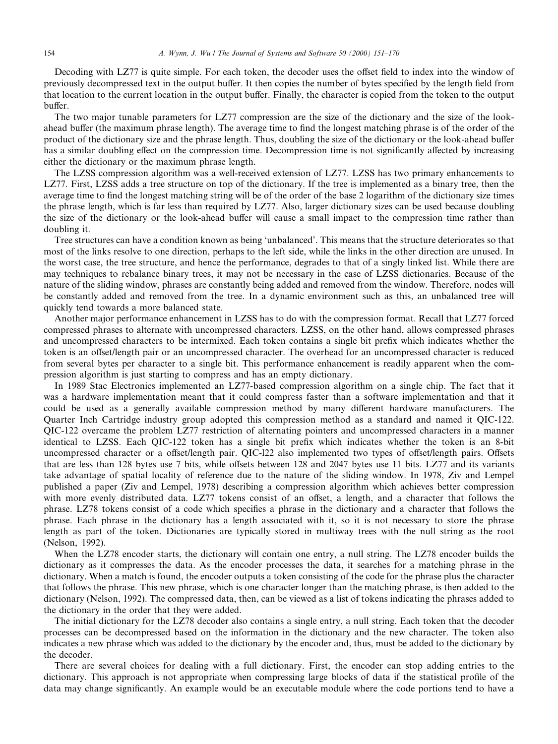Decoding with LZ77 is quite simple. For each token, the decoder uses the offset field to index into the window of previously decompressed text in the output buffer. It then copies the number of bytes specified by the length field from that location to the current location in the output buffer. Finally, the character is copied from the token to the output buffer.

The two major tunable parameters for LZ77 compression are the size of the dictionary and the size of the lookahead buffer (the maximum phrase length). The average time to find the longest matching phrase is of the order of the product of the dictionary size and the phrase length. Thus, doubling the size of the dictionary or the look-ahead buffer has a similar doubling effect on the compression time. Decompression time is not significantly affected by increasing either the dictionary or the maximum phrase length.

The LZSS compression algorithm was a well-received extension of LZ77. LZSS has two primary enhancements to LZ77. First, LZSS adds a tree structure on top of the dictionary. If the tree is implemented as a binary tree, then the average time to find the longest matching string will be of the order of the base 2 logarithm of the dictionary size times the phrase length, which is far less than required by LZ77. Also, larger dictionary sizes can be used because doubling the size of the dictionary or the look-ahead buffer will cause a small impact to the compression time rather than doubling it.

Tree structures can have a condition known as being `unbalanced'. This means that the structure deteriorates so that most of the links resolve to one direction, perhaps to the left side, while the links in the other direction are unused. In the worst case, the tree structure, and hence the performance, degrades to that of a singly linked list. While there are may techniques to rebalance binary trees, it may not be necessary in the case of LZSS dictionaries. Because of the nature of the sliding window, phrases are constantly being added and removed from the window. Therefore, nodes will be constantly added and removed from the tree. In a dynamic environment such as this, an unbalanced tree will quickly tend towards a more balanced state.

Another major performance enhancement in LZSS has to do with the compression format. Recall that LZ77 forced compressed phrases to alternate with uncompressed characters. LZSS, on the other hand, allows compressed phrases and uncompressed characters to be intermixed. Each token contains a single bit prefix which indicates whether the token is an offset/length pair or an uncompressed character. The overhead for an uncompressed character is reduced from several bytes per character to a single bit. This performance enhancement is readily apparent when the compression algorithm is just starting to compress and has an empty dictionary.

In 1989 Stac Electronics implemented an LZ77-based compression algorithm on a single chip. The fact that it was a hardware implementation meant that it could compress faster than a software implementation and that it could be used as a generally available compression method by many different hardware manufacturers. The Quarter Inch Cartridge industry group adopted this compression method as a standard and named it QIC-122. QIC-122 overcame the problem LZ77 restriction of alternating pointers and uncompressed characters in a manner identical to LZSS. Each QIC-122 token has a single bit prefix which indicates whether the token is an 8-bit uncompressed character or a offset/length pair. QIC-122 also implemented two types of offset/length pairs. Offsets that are less than 128 bytes use 7 bits, while offsets between 128 and 2047 bytes use 11 bits. LZ77 and its variants take advantage of spatial locality of reference due to the nature of the sliding window. In 1978, Ziv and Lempel published a paper (Ziv and Lempel, 1978) describing a compression algorithm which achieves better compression with more evenly distributed data. LZ77 tokens consist of an offset, a length, and a character that follows the phrase. LZ78 tokens consist of a code which specifies a phrase in the dictionary and a character that follows the phrase. Each phrase in the dictionary has a length associated with it, so it is not necessary to store the phrase length as part of the token. Dictionaries are typically stored in multiway trees with the null string as the root (Nelson, 1992).

When the LZ78 encoder starts, the dictionary will contain one entry, a null string. The LZ78 encoder builds the dictionary as it compresses the data. As the encoder processes the data, it searches for a matching phrase in the dictionary. When a match is found, the encoder outputs a token consisting of the code for the phrase plus the character that follows the phrase. This new phrase, which is one character longer than the matching phrase, is then added to the dictionary (Nelson, 1992). The compressed data, then, can be viewed as a list of tokens indicating the phrases added to the dictionary in the order that they were added.

The initial dictionary for the LZ78 decoder also contains a single entry, a null string. Each token that the decoder processes can be decompressed based on the information in the dictionary and the new character. The token also indicates a new phrase which was added to the dictionary by the encoder and, thus, must be added to the dictionary by the decoder.

There are several choices for dealing with a full dictionary. First, the encoder can stop adding entries to the dictionary. This approach is not appropriate when compressing large blocks of data if the statistical profile of the data may change significantly. An example would be an executable module where the code portions tend to have a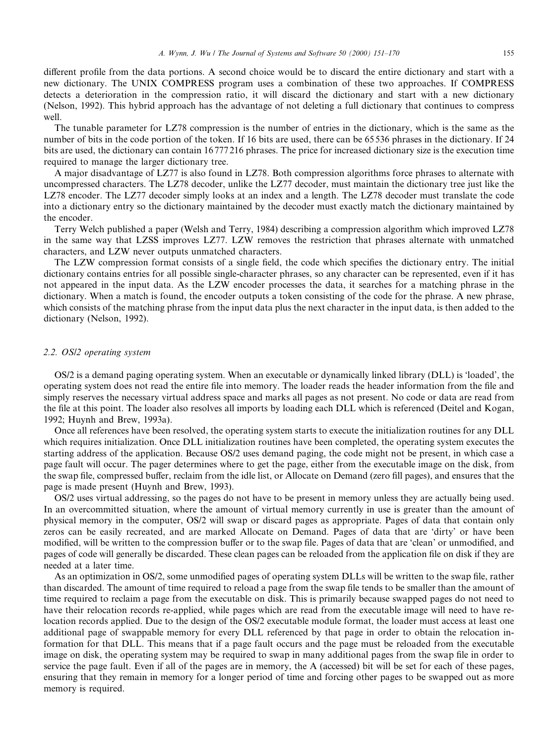different profile from the data portions. A second choice would be to discard the entire dictionary and start with a new dictionary. The UNIX COMPRESS program uses a combination of these two approaches. If COMPRESS detects a deterioration in the compression ratio, it will discard the dictionary and start with a new dictionary (Nelson, 1992). This hybrid approach has the advantage of not deleting a full dictionary that continues to compress well.

The tunable parameter for LZ78 compression is the number of entries in the dictionary, which is the same as the number of bits in the code portion of the token. If 16 bits are used, there can be 65 536 phrases in the dictionary. If 24 bits are used, the dictionary can contain 16 777 216 phrases. The price for increased dictionary size is the execution time required to manage the larger dictionary tree.

A major disadvantage of LZ77 is also found in LZ78. Both compression algorithms force phrases to alternate with uncompressed characters. The LZ78 decoder, unlike the LZ77 decoder, must maintain the dictionary tree just like the LZ78 encoder. The LZ77 decoder simply looks at an index and a length. The LZ78 decoder must translate the code into a dictionary entry so the dictionary maintained by the decoder must exactly match the dictionary maintained by the encoder.

Terry Welch published a paper (Welsh and Terry, 1984) describing a compression algorithm which improved LZ78 in the same way that LZSS improves LZ77. LZW removes the restriction that phrases alternate with unmatched characters, and LZW never outputs unmatched characters.

The LZW compression format consists of a single field, the code which specifies the dictionary entry. The initial dictionary contains entries for all possible single-character phrases, so any character can be represented, even if it has not appeared in the input data. As the LZW encoder processes the data, it searches for a matching phrase in the dictionary. When a match is found, the encoder outputs a token consisting of the code for the phrase. A new phrase, which consists of the matching phrase from the input data plus the next character in the input data, is then added to the dictionary (Nelson, 1992).

# 2.2. OS/2 operating system

OS/2 is a demand paging operating system. When an executable or dynamically linked library (DLL) is `loaded', the operating system does not read the entire file into memory. The loader reads the header information from the file and simply reserves the necessary virtual address space and marks all pages as not present. No code or data are read from the file at this point. The loader also resolves all imports by loading each DLL which is referenced (Deitel and Kogan, 1992; Huynh and Brew, 1993a).

Once all references have been resolved, the operating system starts to execute the initialization routines for any DLL which requires initialization. Once DLL initialization routines have been completed, the operating system executes the starting address of the application. Because OS/2 uses demand paging, the code might not be present, in which case a page fault will occur. The pager determines where to get the page, either from the executable image on the disk, from the swap file, compressed buffer, reclaim from the idle list, or Allocate on Demand (zero fill pages), and ensures that the page is made present (Huynh and Brew, 1993).

OS/2 uses virtual addressing, so the pages do not have to be present in memory unless they are actually being used. In an overcommitted situation, where the amount of virtual memory currently in use is greater than the amount of physical memory in the computer, OS/2 will swap or discard pages as appropriate. Pages of data that contain only zeros can be easily recreated, and are marked Allocate on Demand. Pages of data that are `dirty' or have been modified, will be written to the compression buffer or to the swap file. Pages of data that are 'clean' or unmodified, and pages of code will generally be discarded. These clean pages can be reloaded from the application file on disk if they are needed at a later time.

As an optimization in OS/2, some unmodified pages of operating system DLLs will be written to the swap file, rather than discarded. The amount of time required to reload a page from the swap file tends to be smaller than the amount of time required to reclaim a page from the executable on disk. This is primarily because swapped pages do not need to have their relocation records re-applied, while pages which are read from the executable image will need to have relocation records applied. Due to the design of the OS/2 executable module format, the loader must access at least one additional page of swappable memory for every DLL referenced by that page in order to obtain the relocation information for that DLL. This means that if a page fault occurs and the page must be reloaded from the executable image on disk, the operating system may be required to swap in many additional pages from the swap file in order to service the page fault. Even if all of the pages are in memory, the A (accessed) bit will be set for each of these pages, ensuring that they remain in memory for a longer period of time and forcing other pages to be swapped out as more memory is required.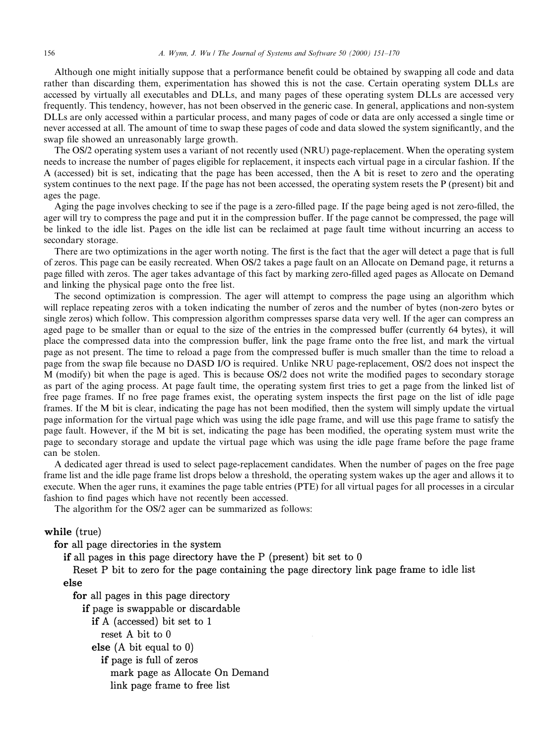Although one might initially suppose that a performance benefit could be obtained by swapping all code and data rather than discarding them, experimentation has showed this is not the case. Certain operating system DLLs are accessed by virtually all executables and DLLs, and many pages of these operating system DLLs are accessed very frequently. This tendency, however, has not been observed in the generic case. In general, applications and non-system DLLs are only accessed within a particular process, and many pages of code or data are only accessed a single time or never accessed at all. The amount of time to swap these pages of code and data slowed the system significantly, and the swap file showed an unreasonably large growth.

The OS/2 operating system uses a variant of not recently used (NRU) page-replacement. When the operating system needs to increase the number of pages eligible for replacement, it inspects each virtual page in a circular fashion. If the A (accessed) bit is set, indicating that the page has been accessed, then the A bit is reset to zero and the operating system continues to the next page. If the page has not been accessed, the operating system resets the P (present) bit and ages the page.

Aging the page involves checking to see if the page is a zero-filled page. If the page being aged is not zero-filled, the ager will try to compress the page and put it in the compression buffer. If the page cannot be compressed, the page will be linked to the idle list. Pages on the idle list can be reclaimed at page fault time without incurring an access to secondary storage.

There are two optimizations in the ager worth noting. The first is the fact that the ager will detect a page that is full of zeros. This page can be easily recreated. When OS/2 takes a page fault on an Allocate on Demand page, it returns a page filled with zeros. The ager takes advantage of this fact by marking zero-filled aged pages as Allocate on Demand and linking the physical page onto the free list.

The second optimization is compression. The ager will attempt to compress the page using an algorithm which will replace repeating zeros with a token indicating the number of zeros and the number of bytes (non-zero bytes or single zeros) which follow. This compression algorithm compresses sparse data very well. If the ager can compress an aged page to be smaller than or equal to the size of the entries in the compressed buffer (currently 64 bytes), it will place the compressed data into the compression buffer, link the page frame onto the free list, and mark the virtual page as not present. The time to reload a page from the compressed buffer is much smaller than the time to reload a page from the swap file because no DASD I/O is required. Unlike NRU page-replacement, OS/2 does not inspect the M (modify) bit when the page is aged. This is because OS/2 does not write the modified pages to secondary storage as part of the aging process. At page fault time, the operating system first tries to get a page from the linked list of free page frames. If no free page frames exist, the operating system inspects the first page on the list of idle page frames. If the M bit is clear, indicating the page has not been modified, then the system will simply update the virtual page information for the virtual page which was using the idle page frame, and will use this page frame to satisfy the page fault. However, if the M bit is set, indicating the page has been modified, the operating system must write the page to secondary storage and update the virtual page which was using the idle page frame before the page frame can be stolen.

A dedicated ager thread is used to select page-replacement candidates. When the number of pages on the free page frame list and the idle page frame list drops below a threshold, the operating system wakes up the ager and allows it to execute. When the ager runs, it examines the page table entries (PTE) for all virtual pages for all processes in a circular fashion to find pages which have not recently been accessed.

The algorithm for the OS/2 ager can be summarized as follows:

# while (true)

for all page directories in the system

if all pages in this page directory have the  $P$  (present) bit set to  $0$ 

Reset P bit to zero for the page containing the page directory link page frame to idle list else

for all pages in this page directory

if page is swappable or discardable

if  $A$  (accessed) bit set to  $1$ 

reset A bit to 0

else  $(A \text{ bit equal to } 0)$ 

if page is full of zeros

mark page as Allocate On Demand

link page frame to free list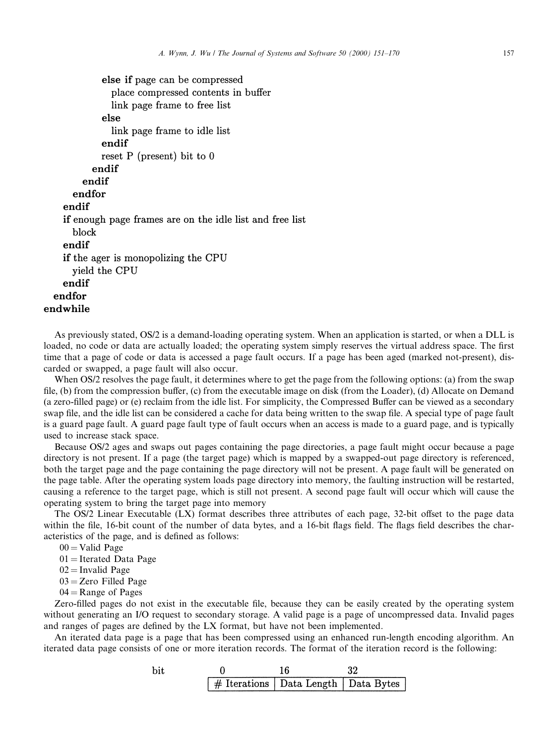```
else if page can be compressed
              place compressed contents in buffer
              link page frame to free list
            else
              link page frame to idle list
            endif
            reset P (present) bit to 0endif
        endif
      endfor
    endif
    if enough page frames are on the idle list and free list
      block
    endif
    if the ager is monopolizing the CPU
      vield the CPU
    endif
  endfor
endwhile
```
As previously stated, OS/2 is a demand-loading operating system. When an application is started, or when a DLL is loaded, no code or data are actually loaded; the operating system simply reserves the virtual address space. The first time that a page of code or data is accessed a page fault occurs. If a page has been aged (marked not-present), discarded or swapped, a page fault will also occur.

When OS/2 resolves the page fault, it determines where to get the page from the following options: (a) from the swap file, (b) from the compression buffer, (c) from the executable image on disk (from the Loader), (d) Allocate on Demand (a zero-filled page) or (e) reclaim from the idle list. For simplicity, the Compressed Buffer can be viewed as a secondary swap file, and the idle list can be considered a cache for data being written to the swap file. A special type of page fault is a guard page fault. A guard page fault type of fault occurs when an access is made to a guard page, and is typically used to increase stack space.

Because OS/2 ages and swaps out pages containing the page directories, a page fault might occur because a page directory is not present. If a page (the target page) which is mapped by a swapped-out page directory is referenced, both the target page and the page containing the page directory will not be present. A page fault will be generated on the page table. After the operating system loads page directory into memory, the faulting instruction will be restarted, causing a reference to the target page, which is still not present. A second page fault will occur which will cause the operating system to bring the target page into memory

The OS/2 Linear Executable  $(LX)$  format describes three attributes of each page, 32-bit offset to the page data within the file, 16-bit count of the number of data bytes, and a 16-bit flags field. The flags field describes the characteristics of the page, and is defined as follows:

 $00 =$ Valid Page

 $01$  = Iterated Data Page

```
02 = Invalid Page
```
- $03 =$ Zero Filled Page
- $04$  = Range of Pages

Zero-filled pages do not exist in the executable file, because they can be easily created by the operating system without generating an I/O request to secondary storage. A valid page is a page of uncompressed data. Invalid pages and ranges of pages are defined by the LX format, but have not been implemented.

An iterated data page is a page that has been compressed using an enhanced run-length encoding algorithm. An iterated data page consists of one or more iteration records. The format of the iteration record is the following:

| hit |                                            |  |
|-----|--------------------------------------------|--|
|     | $\#$ Iterations   Data Length   Data Bytes |  |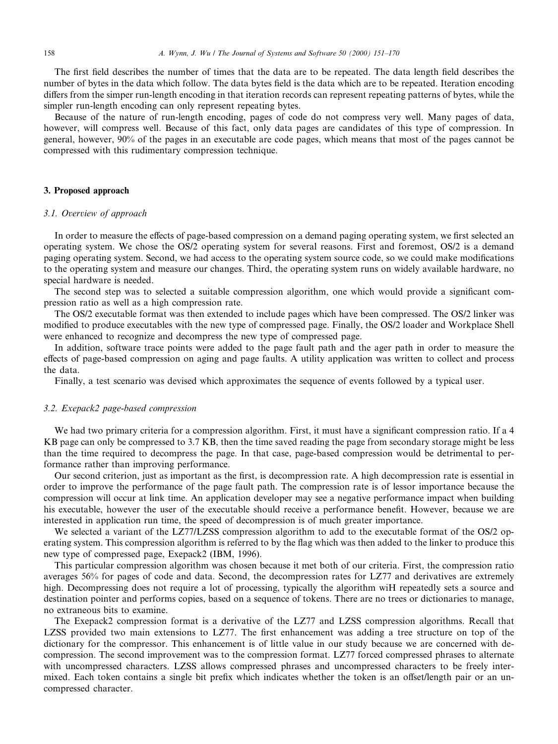The first field describes the number of times that the data are to be repeated. The data length field describes the number of bytes in the data which follow. The data bytes field is the data which are to be repeated. Iteration encoding differs from the simper run-length encoding in that iteration records can represent repeating patterns of bytes, while the simpler run-length encoding can only represent repeating bytes.

Because of the nature of run-length encoding, pages of code do not compress very well. Many pages of data, however, will compress well. Because of this fact, only data pages are candidates of this type of compression. In general, however, 90% of the pages in an executable are code pages, which means that most of the pages cannot be compressed with this rudimentary compression technique.

# 3. Proposed approach

### 3.1. Overview of approach

In order to measure the effects of page-based compression on a demand paging operating system, we first selected an operating system. We chose the OS/2 operating system for several reasons. First and foremost, OS/2 is a demand paging operating system. Second, we had access to the operating system source code, so we could make modifications to the operating system and measure our changes. Third, the operating system runs on widely available hardware, no special hardware is needed.

The second step was to selected a suitable compression algorithm, one which would provide a significant compression ratio as well as a high compression rate.

The OS/2 executable format was then extended to include pages which have been compressed. The OS/2 linker was modified to produce executables with the new type of compressed page. Finally, the OS/2 loader and Workplace Shell were enhanced to recognize and decompress the new type of compressed page.

In addition, software trace points were added to the page fault path and the ager path in order to measure the effects of page-based compression on aging and page faults. A utility application was written to collect and process the data.

Finally, a test scenario was devised which approximates the sequence of events followed by a typical user.

# 3.2. Exepack2 page-based compression

We had two primary criteria for a compression algorithm. First, it must have a significant compression ratio. If a 4 KB page can only be compressed to 3.7 KB, then the time saved reading the page from secondary storage might be less than the time required to decompress the page. In that case, page-based compression would be detrimental to performance rather than improving performance.

Our second criterion, just as important as the first, is decompression rate. A high decompression rate is essential in order to improve the performance of the page fault path. The compression rate is of lessor importance because the compression will occur at link time. An application developer may see a negative performance impact when building his executable, however the user of the executable should receive a performance benefit. However, because we are interested in application run time, the speed of decompression is of much greater importance.

We selected a variant of the LZ77/LZSS compression algorithm to add to the executable format of the OS/2 operating system. This compression algorithm is referred to by the flag which was then added to the linker to produce this new type of compressed page, Exepack2 (IBM, 1996).

This particular compression algorithm was chosen because it met both of our criteria. First, the compression ratio averages 56% for pages of code and data. Second, the decompression rates for LZ77 and derivatives are extremely high. Decompressing does not require a lot of processing, typically the algorithm wiH repeatedly sets a source and destination pointer and performs copies, based on a sequence of tokens. There are no trees or dictionaries to manage, no extraneous bits to examine.

The Exepack2 compression format is a derivative of the LZ77 and LZSS compression algorithms. Recall that LZSS provided two main extensions to LZ77. The first enhancement was adding a tree structure on top of the dictionary for the compressor. This enhancement is of little value in our study because we are concerned with decompression. The second improvement was to the compression format. LZ77 forced compressed phrases to alternate with uncompressed characters. LZSS allows compressed phrases and uncompressed characters to be freely intermixed. Each token contains a single bit prefix which indicates whether the token is an offset/length pair or an uncompressed character.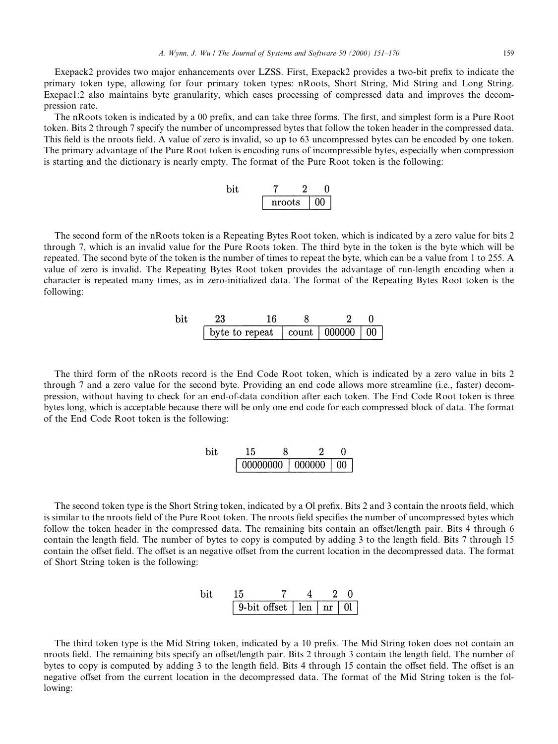Exepack2 provides two major enhancements over LZSS. First, Exepack2 provides a two-bit prefix to indicate the primary token type, allowing for four primary token types: nRoots, Short String, Mid String and Long String. Exepac1:2 also maintains byte granularity, which eases processing of compressed data and improves the decompression rate.

The nRoots token is indicated by a 00 prefix, and can take three forms. The first, and simplest form is a Pure Root token. Bits 2 through 7 specify the number of uncompressed bytes that follow the token header in the compressed data. This field is the nroots field. A value of zero is invalid, so up to 63 uncompressed bytes can be encoded by one token. The primary advantage of the Pure Root token is encoding runs of incompressible bytes, especially when compression is starting and the dictionary is nearly empty. The format of the Pure Root token is the following:

| hıt |        |  |
|-----|--------|--|
|     | nroots |  |

The second form of the nRoots token is a Repeating Bytes Root token, which is indicated by a zero value for bits 2 through 7, which is an invalid value for the Pure Roots token. The third byte in the token is the byte which will be repeated. The second byte of the token is the number of times to repeat the byte, which can be a value from 1 to 255. A value of zero is invalid. The Repeating Bytes Root token provides the advantage of run-length encoding when a character is repeated many times, as in zero-initialized data. The format of the Repeating Bytes Root token is the following:

| bit | 23                                                     |  |  |
|-----|--------------------------------------------------------|--|--|
|     | byte to repeat $\vert$ count $\vert$ 000000 $\vert$ 00 |  |  |

The third form of the nRoots record is the End Code Root token, which is indicated by a zero value in bits 2 through 7 and a zero value for the second byte. Providing an end code allows more streamline (i.e., faster) decompression, without having to check for an end-of-data condition after each token. The End Code Root token is three bytes long, which is acceptable because there will be only one end code for each compressed block of data. The format of the End Code Root token is the following:

| $_{\rm bit}$ | -15 |  |  |
|--------------|-----|--|--|
|              |     |  |  |

The second token type is the Short String token, indicated by a Ol prefix. Bits 2 and 3 contain the nroots field, which is similar to the nroots field of the Pure Root token. The nroots field specifies the number of uncompressed bytes which follow the token header in the compressed data. The remaining bits contain an offset/length pair. Bits 4 through 6 contain the length field. The number of bytes to copy is computed by adding 3 to the length field. Bits 7 through 15 contain the offset field. The offset is an negative offset from the current location in the decompressed data. The format of Short String token is the following:

| 9-bit offset   len |  | nr |  |
|--------------------|--|----|--|

The third token type is the Mid String token, indicated by a 10 prefix. The Mid String token does not contain an nroots field. The remaining bits specify an offset/length pair. Bits 2 through 3 contain the length field. The number of bytes to copy is computed by adding 3 to the length field. Bits 4 through 15 contain the offset field. The offset is an negative offset from the current location in the decompressed data. The format of the Mid String token is the following: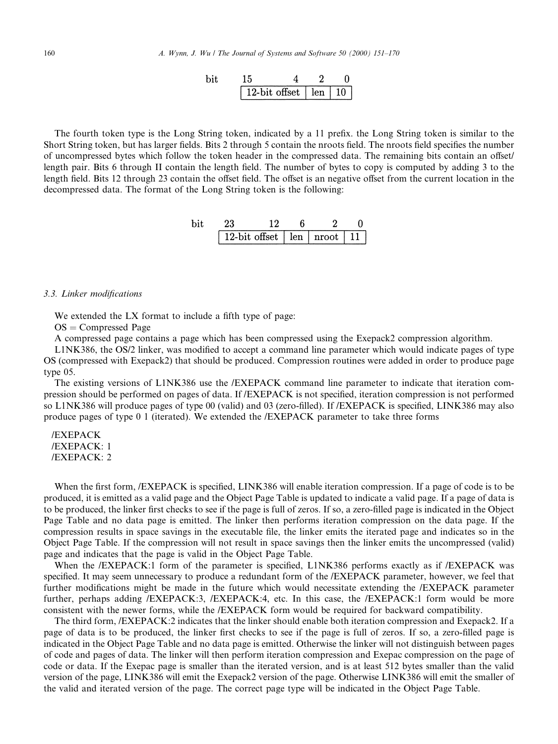| bit           | $15$ | $4$ | $2$ | $0$ |
|---------------|------|-----|-----|-----|
| 12-bit offset | len  | 10  |     |     |

The fourth token type is the Long String token, indicated by a 11 prefix, the Long String token is similar to the Short String token, but has larger fields. Bits 2 through 5 contain the nroots field. The nroots field specifies the number of uncompressed bytes which follow the token header in the compressed data. The remaining bits contain an offset/ length pair. Bits 6 through II contain the length field. The number of bytes to copy is computed by adding 3 to the length field. Bits 12 through 23 contain the offset field. The offset is an negative offset from the current location in the decompressed data. The format of the Long String token is the following:

| bit           | $23$ | $12$  | $6$ | $2$ | $0$ |
|---------------|------|-------|-----|-----|-----|
| 12-bit offset | len  | proof | 11  |     |     |

# 3.3. Linker modifications

We extended the LX format to include a fifth type of page:

 $OS = Compressed Page$ 

A compressed page contains a page which has been compressed using the Exepack2 compression algorithm.

L1NK386, the OS/2 linker, was modified to accept a command line parameter which would indicate pages of type OS (compressed with Exepack2) that should be produced. Compression routines were added in order to produce page type 05.

The existing versions of L1NK386 use the /EXEPACK command line parameter to indicate that iteration compression should be performed on pages of data. If /EXEPACK is not specified, iteration compression is not performed so L1NK386 will produce pages of type 00 (valid) and 03 (zero-filled). If /EXEPACK is specified, LINK386 may also produce pages of type 0 1 (iterated). We extended the /EXEPACK parameter to take three forms

/EXEPACK /EXEPACK: 1 /EXEPACK: 2

When the first form, /EXEPACK is specified, LINK386 will enable iteration compression. If a page of code is to be produced, it is emitted as a valid page and the Object Page Table is updated to indicate a valid page. If a page of data is to be produced, the linker first checks to see if the page is full of zeros. If so, a zero-filled page is indicated in the Object Page Table and no data page is emitted. The linker then performs iteration compression on the data page. If the compression results in space savings in the executable file, the linker emits the iterated page and indicates so in the Object Page Table. If the compression will not result in space savings then the linker emits the uncompressed (valid) page and indicates that the page is valid in the Object Page Table.

When the /EXEPACK:1 form of the parameter is specified, L1NK386 performs exactly as if /EXEPACK was specified. It may seem unnecessary to produce a redundant form of the /EXEPACK parameter, however, we feel that further modifications might be made in the future which would necessitate extending the /EXEPACK parameter further, perhaps adding /EXEPACK:3, /EXEPACK:4, etc. In this case, the /EXEPACK:1 form would be more consistent with the newer forms, while the /EXEPACK form would be required for backward compatibility.

The third form, /EXEPACK:2 indicates that the linker should enable both iteration compression and Exepack2. If a page of data is to be produced, the linker first checks to see if the page is full of zeros. If so, a zero-filled page is indicated in the Object Page Table and no data page is emitted. Otherwise the linker will not distinguish between pages of code and pages of data. The linker will then perform iteration compression and Exepac compression on the page of code or data. If the Exepac page is smaller than the iterated version, and is at least 512 bytes smaller than the valid version of the page, LINK386 will emit the Exepack2 version of the page. Otherwise LINK386 will emit the smaller of the valid and iterated version of the page. The correct page type will be indicated in the Object Page Table.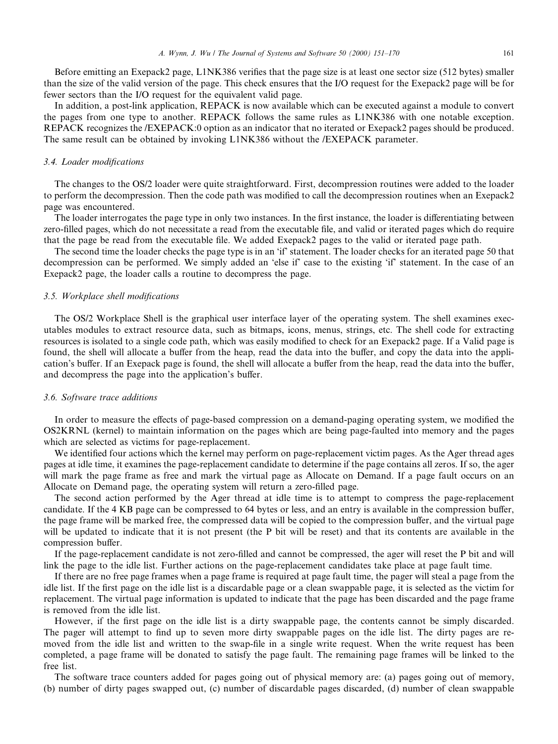Before emitting an Exepack2 page, L1NK386 verifies that the page size is at least one sector size (512 bytes) smaller than the size of the valid version of the page. This check ensures that the I/O request for the Exepack2 page will be for fewer sectors than the I/O request for the equivalent valid page.

In addition, a post-link application, REPACK is now available which can be executed against a module to convert the pages from one type to another. REPACK follows the same rules as L1NK386 with one notable exception. REPACK recognizes the /EXEPACK:0 option as an indicator that no iterated or Exepack2 pages should be produced. The same result can be obtained by invoking L1NK386 without the /EXEPACK parameter.

### 3.4. Loader modifications

The changes to the OS/2 loader were quite straightforward. First, decompression routines were added to the loader to perform the decompression. Then the code path was modified to call the decompression routines when an Exepack2 page was encountered.

The loader interrogates the page type in only two instances. In the first instance, the loader is differentiating between zero-filled pages, which do not necessitate a read from the executable file, and valid or iterated pages which do require that the page be read from the executable file. We added Exepack2 pages to the valid or iterated page path.

The second time the loader checks the page type is in an `if' statement. The loader checks for an iterated page 50 that decompression can be performed. We simply added an `else if' case to the existing `if' statement. In the case of an Exepack2 page, the loader calls a routine to decompress the page.

# 3.5. Workplace shell modifications

The OS/2 Workplace Shell is the graphical user interface layer of the operating system. The shell examines executables modules to extract resource data, such as bitmaps, icons, menus, strings, etc. The shell code for extracting resources is isolated to a single code path, which was easily modified to check for an Exepack2 page. If a Valid page is found, the shell will allocate a buffer from the heap, read the data into the buffer, and copy the data into the application's buffer. If an Exepack page is found, the shell will allocate a buffer from the heap, read the data into the buffer, and decompress the page into the application's buffer.

# 3.6. Software trace additions

In order to measure the effects of page-based compression on a demand-paging operating system, we modified the OS2KRNL (kernel) to maintain information on the pages which are being page-faulted into memory and the pages which are selected as victims for page-replacement.

We identified four actions which the kernel may perform on page-replacement victim pages. As the Ager thread ages pages at idle time, it examines the page-replacement candidate to determine if the page contains all zeros. If so, the ager will mark the page frame as free and mark the virtual page as Allocate on Demand. If a page fault occurs on an Allocate on Demand page, the operating system will return a zero-filled page.

The second action performed by the Ager thread at idle time is to attempt to compress the page-replacement candidate. If the 4 KB page can be compressed to 64 bytes or less, and an entry is available in the compression buffer, the page frame will be marked free, the compressed data will be copied to the compression buffer, and the virtual page will be updated to indicate that it is not present (the P bit will be reset) and that its contents are available in the compression buffer.

If the page-replacement candidate is not zero-filled and cannot be compressed, the ager will reset the P bit and will link the page to the idle list. Further actions on the page-replacement candidates take place at page fault time.

If there are no free page frames when a page frame is required at page fault time, the pager will steal a page from the idle list. If the first page on the idle list is a discardable page or a clean swappable page, it is selected as the victim for replacement. The virtual page information is updated to indicate that the page has been discarded and the page frame is removed from the idle list.

However, if the first page on the idle list is a dirty swappable page, the contents cannot be simply discarded. The pager will attempt to find up to seven more dirty swappable pages on the idle list. The dirty pages are removed from the idle list and written to the swap-file in a single write request. When the write request has been completed, a page frame will be donated to satisfy the page fault. The remaining page frames will be linked to the free list.

The software trace counters added for pages going out of physical memory are: (a) pages going out of memory, (b) number of dirty pages swapped out, (c) number of discardable pages discarded, (d) number of clean swappable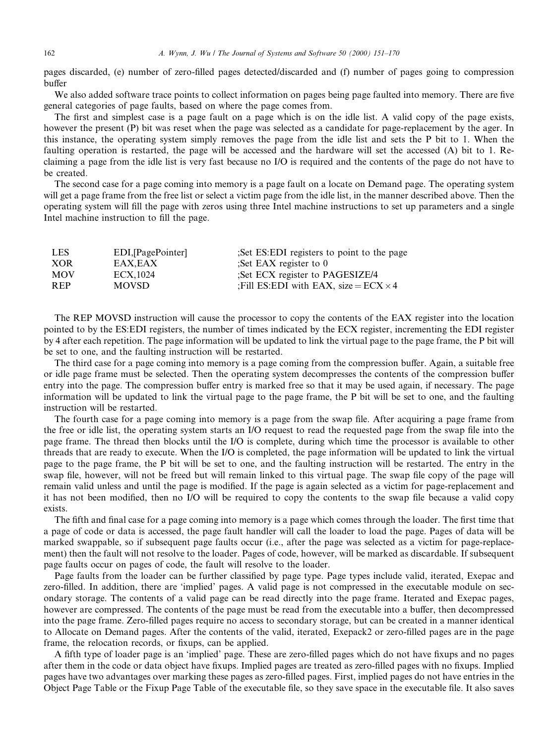pages discarded, (e) number of zero-filled pages detected/discarded and (f) number of pages going to compression buffer

We also added software trace points to collect information on pages being page faulted into memory. There are five general categories of page faults, based on where the page comes from.

The first and simplest case is a page fault on a page which is on the idle list. A valid copy of the page exists, however the present (P) bit was reset when the page was selected as a candidate for page-replacement by the ager. In this instance, the operating system simply removes the page from the idle list and sets the P bit to 1. When the faulting operation is restarted, the page will be accessed and the hardware will set the accessed (A) bit to 1. Reclaiming a page from the idle list is very fast because no I/O is required and the contents of the page do not have to be created.

The second case for a page coming into memory is a page fault on a locate on Demand page. The operating system will get a page frame from the free list or select a victim page from the idle list, in the manner described above. Then the operating system will fill the page with zeros using three Intel machine instructions to set up parameters and a single Intel machine instruction to fill the page.

| <b>LES</b> | EDI, [PagePointer] | Set ES: EDI registers to point to the page   |
|------------|--------------------|----------------------------------------------|
| <b>XOR</b> | EAX.EAX            | :Set EAX register to $0$                     |
| <b>MOV</b> | ECX.1024           | Set ECX register to PAGESIZE/4               |
| <b>REP</b> | <b>MOVSD</b>       | :Fill ES:EDI with EAX. size = $ECX \times 4$ |
|            |                    |                                              |

The REP MOVSD instruction will cause the processor to copy the contents of the EAX register into the location pointed to by the ES:EDI registers, the number of times indicated by the ECX register, incrementing the EDI register by 4 after each repetition. The page information will be updated to link the virtual page to the page frame, the P bit will be set to one, and the faulting instruction will be restarted.

The third case for a page coming into memory is a page coming from the compression buffer. Again, a suitable free or idle page frame must be selected. Then the operating system decompresses the contents of the compression buffer entry into the page. The compression buffer entry is marked free so that it may be used again, if necessary. The page information will be updated to link the virtual page to the page frame, the P bit will be set to one, and the faulting instruction will be restarted.

The fourth case for a page coming into memory is a page from the swap file. After acquiring a page frame from the free or idle list, the operating system starts an I/O request to read the requested page from the swap file into the page frame. The thread then blocks until the I/O is complete, during which time the processor is available to other threads that are ready to execute. When the I/O is completed, the page information will be updated to link the virtual page to the page frame, the P bit will be set to one, and the faulting instruction will be restarted. The entry in the swap file, however, will not be freed but will remain linked to this virtual page. The swap file copy of the page will remain valid unless and until the page is modified. If the page is again selected as a victim for page-replacement and it has not been modified, then no I/O will be required to copy the contents to the swap file because a valid copy exists.

The fifth and final case for a page coming into memory is a page which comes through the loader. The first time that a page of code or data is accessed, the page fault handler will call the loader to load the page. Pages of data will be marked swappable, so if subsequent page faults occur (i.e., after the page was selected as a victim for page-replacement) then the fault will not resolve to the loader. Pages of code, however, will be marked as discardable. If subsequent page faults occur on pages of code, the fault will resolve to the loader.

Page faults from the loader can be further classified by page type. Page types include valid, iterated, Exepac and zero-filled. In addition, there are 'implied' pages. A valid page is not compressed in the executable module on secondary storage. The contents of a valid page can be read directly into the page frame. Iterated and Exepac pages, however are compressed. The contents of the page must be read from the executable into a buffer, then decompressed into the page frame. Zero-filled pages require no access to secondary storage, but can be created in a manner identical to Allocate on Demand pages. After the contents of the valid, iterated, Exepack2 or zero-filled pages are in the page frame, the relocation records, or fixups, can be applied.

A fifth type of loader page is an 'implied' page. These are zero-filled pages which do not have fixups and no pages after them in the code or data object have fixups. Implied pages are treated as zero-filled pages with no fixups. Implied pages have two advantages over marking these pages as zero-filled pages. First, implied pages do not have entries in the Object Page Table or the Fixup Page Table of the executable file, so they save space in the executable file. It also saves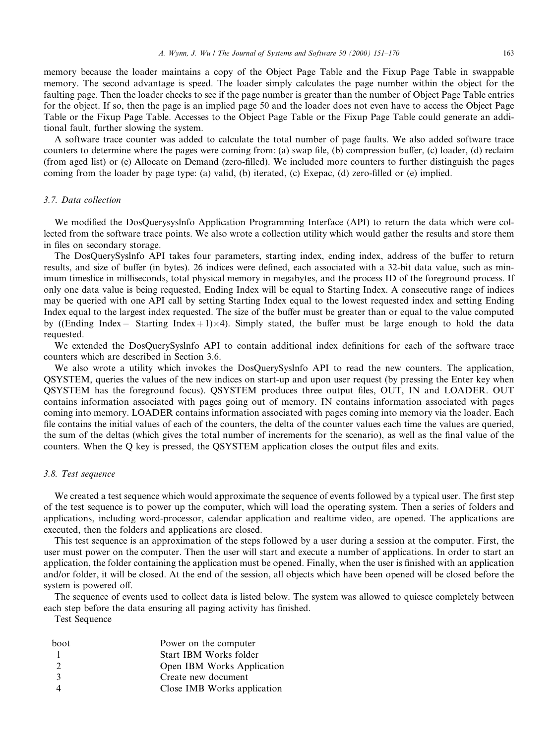memory because the loader maintains a copy of the Object Page Table and the Fixup Page Table in swappable memory. The second advantage is speed. The loader simply calculates the page number within the object for the faulting page. Then the loader checks to see if the page number is greater than the number of Object Page Table entries for the object. If so, then the page is an implied page 50 and the loader does not even have to access the Object Page Table or the Fixup Page Table. Accesses to the Object Page Table or the Fixup Page Table could generate an additional fault, further slowing the system.

A software trace counter was added to calculate the total number of page faults. We also added software trace counters to determine where the pages were coming from: (a) swap file, (b) compression buffer, (c) loader, (d) reclaim (from aged list) or (e) Allocate on Demand (zero-filled). We included more counters to further distinguish the pages coming from the loader by page type: (a) valid, (b) iterated, (c) Exepac, (d) zero-filled or (e) implied.

# 3.7. Data collection

We modified the DosQuerysyslnfo Application Programming Interface (API) to return the data which were collected from the software trace points. We also wrote a collection utility which would gather the results and store them in files on secondary storage.

The DosQuerySyslnfo API takes four parameters, starting index, ending index, address of the buffer to return results, and size of buffer (in bytes). 26 indices were defined, each associated with a 32-bit data value, such as minimum timeslice in milliseconds, total physical memory in megabytes, and the process ID of the foreground process. If only one data value is being requested, Ending Index will be equal to Starting Index. A consecutive range of indices may be queried with one API call by setting Starting Index equal to the lowest requested index and setting Ending Index equal to the largest index requested. The size of the buffer must be greater than or equal to the value computed by ((Ending Index – Starting Index + 1) $\times$ 4). Simply stated, the buffer must be large enough to hold the data requested.

We extended the DosQuerySyslnfo API to contain additional index definitions for each of the software trace counters which are described in Section 3.6.

We also wrote a utility which invokes the DosQuerySyslnfo API to read the new counters. The application, QSYSTEM, queries the values of the new indices on start-up and upon user request (by pressing the Enter key when QSYSTEM has the foreground focus). QSYSTEM produces three output files, OUT, IN and LOADER. OUT contains information associated with pages going out of memory. IN contains information associated with pages coming into memory. LOADER contains information associated with pages coming into memory via the loader. Each file contains the initial values of each of the counters, the delta of the counter values each time the values are queried, the sum of the deltas (which gives the total number of increments for the scenario), as well as the final value of the counters. When the Q key is pressed, the QSYSTEM application closes the output files and exits.

# 3.8. Test sequence

We created a test sequence which would approximate the sequence of events followed by a typical user. The first step of the test sequence is to power up the computer, which will load the operating system. Then a series of folders and applications, including word-processor, calendar application and realtime video, are opened. The applications are executed, then the folders and applications are closed.

This test sequence is an approximation of the steps followed by a user during a session at the computer. First, the user must power on the computer. Then the user will start and execute a number of applications. In order to start an application, the folder containing the application must be opened. Finally, when the user is finished with an application and/or folder, it will be closed. At the end of the session, all objects which have been opened will be closed before the system is powered off.

The sequence of events used to collect data is listed below. The system was allowed to quiesce completely between each step before the data ensuring all paging activity has finished.

Test Sequence

| boot          | Power on the computer       |
|---------------|-----------------------------|
|               | Start IBM Works folder      |
| $\mathcal{L}$ | Open IBM Works Application  |
| $\mathcal{R}$ | Create new document         |
|               | Close IMB Works application |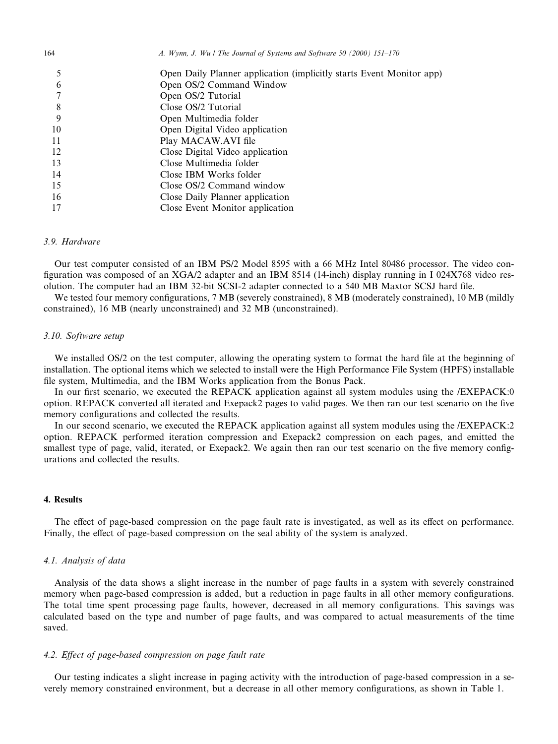|    | Open Daily Planner application (implicitly starts Event Monitor app) |
|----|----------------------------------------------------------------------|
| 6  | Open OS/2 Command Window                                             |
|    | Open OS/2 Tutorial                                                   |
| 8  | Close OS/2 Tutorial                                                  |
|    | Open Multimedia folder                                               |
| 10 | Open Digital Video application                                       |
| 11 | Play MACAW.AVI file                                                  |
| 12 | Close Digital Video application                                      |
| 13 | Close Multimedia folder                                              |
| 14 | Close IBM Works folder                                               |
| 15 | Close OS/2 Command window                                            |
| 16 | Close Daily Planner application                                      |
|    | Close Event Monitor application                                      |

# 3.9. Hardware

Our test computer consisted of an IBM PS/2 Model 8595 with a 66 MHz Intel 80486 processor. The video con figuration was composed of an XGA/2 adapter and an IBM 8514 (14-inch) display running in I 024X768 video resolution. The computer had an IBM 32-bit SCSI-2 adapter connected to a 540 MB Maxtor SCSJ hard file.

We tested four memory configurations, 7 MB (severely constrained), 8 MB (moderately constrained), 10 MB (mildly constrained), 16 MB (nearly unconstrained) and 32 MB (unconstrained).

# 3.10. Software setup

We installed OS/2 on the test computer, allowing the operating system to format the hard file at the beginning of installation. The optional items which we selected to install were the High Performance File System (HPFS) installable file system, Multimedia, and the IBM Works application from the Bonus Pack.

In our first scenario, we executed the REPACK application against all system modules using the /EXEPACK:0 option. REPACK converted all iterated and Exepack2 pages to valid pages. We then ran our test scenario on the five memory configurations and collected the results.

In our second scenario, we executed the REPACK application against all system modules using the /EXEPACK:2 option. REPACK performed iteration compression and Exepack2 compression on each pages, and emitted the smallest type of page, valid, iterated, or Exepack2. We again then ran our test scenario on the five memory configurations and collected the results.

# 4. Results

The effect of page-based compression on the page fault rate is investigated, as well as its effect on performance. Finally, the effect of page-based compression on the seal ability of the system is analyzed.

# 4.1. Analysis of data

Analysis of the data shows a slight increase in the number of page faults in a system with severely constrained memory when page-based compression is added, but a reduction in page faults in all other memory configurations. The total time spent processing page faults, however, decreased in all memory configurations. This savings was calculated based on the type and number of page faults, and was compared to actual measurements of the time saved.

# 4.2. Effect of page-based compression on page fault rate

Our testing indicates a slight increase in paging activity with the introduction of page-based compression in a severely memory constrained environment, but a decrease in all other memory configurations, as shown in Table 1.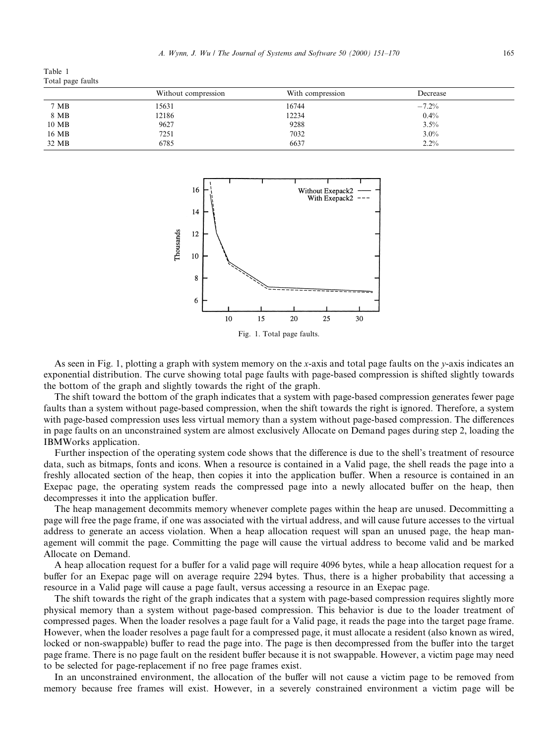A. Wynn, J. Wu / The Journal of Systems and Software 50 (2000) 151–170 165

Table 1 Total page faults

|       | Without compression | With compression | Decrease |  |
|-------|---------------------|------------------|----------|--|
| 7 MB  | 15631               | 16744            | $-7.2\%$ |  |
| 8 MB  | 12186               | 12234            | $0.4\%$  |  |
| 10 MB | 9627                | 9288             | $3.5\%$  |  |
| 16 MB | 7251                | 7032             | $3.0\%$  |  |
| 32 MB | 6785                | 6637             | $2.2\%$  |  |



Fig. 1. Total page faults.

As seen in Fig. 1, plotting a graph with system memory on the x-axis and total page faults on the y-axis indicates an exponential distribution. The curve showing total page faults with page-based compression is shifted slightly towards the bottom of the graph and slightly towards the right of the graph.

The shift toward the bottom of the graph indicates that a system with page-based compression generates fewer page faults than a system without page-based compression, when the shift towards the right is ignored. Therefore, a system with page-based compression uses less virtual memory than a system without page-based compression. The differences in page faults on an unconstrained system are almost exclusively Allocate on Demand pages during step 2, loading the IBMWorks application.

Further inspection of the operating system code shows that the difference is due to the shell's treatment of resource data, such as bitmaps, fonts and icons. When a resource is contained in a Valid page, the shell reads the page into a freshly allocated section of the heap, then copies it into the application buffer. When a resource is contained in an Exepac page, the operating system reads the compressed page into a newly allocated buffer on the heap, then decompresses it into the application buffer.

The heap management decommits memory whenever complete pages within the heap are unused. Decommitting a page will free the page frame, if one was associated with the virtual address, and will cause future accesses to the virtual address to generate an access violation. When a heap allocation request will span an unused page, the heap management will commit the page. Committing the page will cause the virtual address to become valid and be marked Allocate on Demand.

A heap allocation request for a buffer for a valid page will require 4096 bytes, while a heap allocation request for a buffer for an Exepac page will on average require 2294 bytes. Thus, there is a higher probability that accessing a resource in a Valid page will cause a page fault, versus accessing a resource in an Exepac page.

The shift towards the right of the graph indicates that a system with page-based compression requires slightly more physical memory than a system without page-based compression. This behavior is due to the loader treatment of compressed pages. When the loader resolves a page fault for a Valid page, it reads the page into the target page frame. However, when the loader resolves a page fault for a compressed page, it must allocate a resident (also known as wired, locked or non-swappable) buffer to read the page into. The page is then decompressed from the buffer into the target page frame. There is no page fault on the resident buffer because it is not swappable. However, a victim page may need to be selected for page-replacement if no free page frames exist.

In an unconstrained environment, the allocation of the buffer will not cause a victim page to be removed from memory because free frames will exist. However, in a severely constrained environment a victim page will be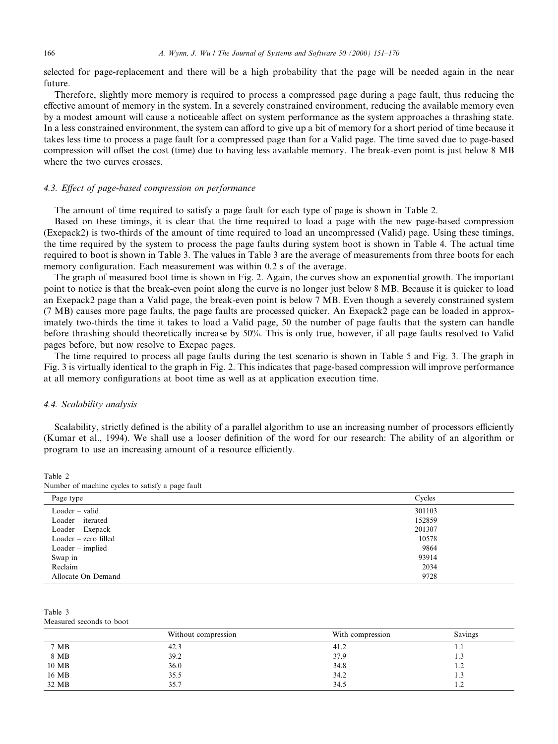selected for page-replacement and there will be a high probability that the page will be needed again in the near future.

Therefore, slightly more memory is required to process a compressed page during a page fault, thus reducing the effective amount of memory in the system. In a severely constrained environment, reducing the available memory even by a modest amount will cause a noticeable affect on system performance as the system approaches a thrashing state. In a less constrained environment, the system can afford to give up a bit of memory for a short period of time because it takes less time to process a page fault for a compressed page than for a Valid page. The time saved due to page-based compression will offset the cost (time) due to having less available memory. The break-even point is just below 8 MB where the two curves crosses.

# 4.3. Effect of page-based compression on performance

The amount of time required to satisfy a page fault for each type of page is shown in Table 2.

Based on these timings, it is clear that the time required to load a page with the new page-based compression (Exepack2) is two-thirds of the amount of time required to load an uncompressed (Valid) page. Using these timings, the time required by the system to process the page faults during system boot is shown in Table 4. The actual time required to boot is shown in Table 3. The values in Table 3 are the average of measurements from three boots for each memory configuration. Each measurement was within 0.2 s of the average.

The graph of measured boot time is shown in Fig. 2. Again, the curves show an exponential growth. The important point to notice is that the break-even point along the curve is no longer just below 8 MB. Because it is quicker to load an Exepack2 page than a Valid page, the break-even point is below 7 MB. Even though a severely constrained system (7 MB) causes more page faults, the page faults are processed quicker. An Exepack2 page can be loaded in approximately two-thirds the time it takes to load a Valid page, 50 the number of page faults that the system can handle before thrashing should theoretically increase by 50%. This is only true, however, if all page faults resolved to Valid pages before, but now resolve to Exepac pages.

The time required to process all page faults during the test scenario is shown in Table 5 and Fig. 3. The graph in Fig. 3 is virtually identical to the graph in Fig. 2. This indicates that page-based compression will improve performance at all memory configurations at boot time as well as at application execution time.

# 4.4. Scalability analysis

Scalability, strictly defined is the ability of a parallel algorithm to use an increasing number of processors efficiently (Kumar et al., 1994). We shall use a looser definition of the word for our research: The ability of an algorithm or program to use an increasing amount of a resource efficiently.

Table 2

| Number of machine cycles to satisfy a page fault |  |  |
|--------------------------------------------------|--|--|
|--------------------------------------------------|--|--|

| Page type            | Cycles |
|----------------------|--------|
| $Loader - valid$     | 301103 |
| $Loader - iterated$  | 152859 |
| Loader – Exepack     | 201307 |
| Loader – zero filled | 10578  |
| $Loader - implied$   | 9864   |
| Swap in              | 93914  |
| Reclaim              | 2034   |
| Allocate On Demand   | 9728   |
|                      |        |

Table 3 Measured seconds to boot

|               | Without compression | With compression | Savings |
|---------------|---------------------|------------------|---------|
| 7 MB          | 42.3                | 41.2             | 1.1     |
| $8\,$ MB $\,$ | 39.2                | 37.9             | 1.3     |
| 10 MB         | 36.0                | 34.8             | 1.2     |
| 16 MB         | 35.5                | 34.2             | 1.3     |
| 32 MB         | 35.7                | 34.5             | 1.2     |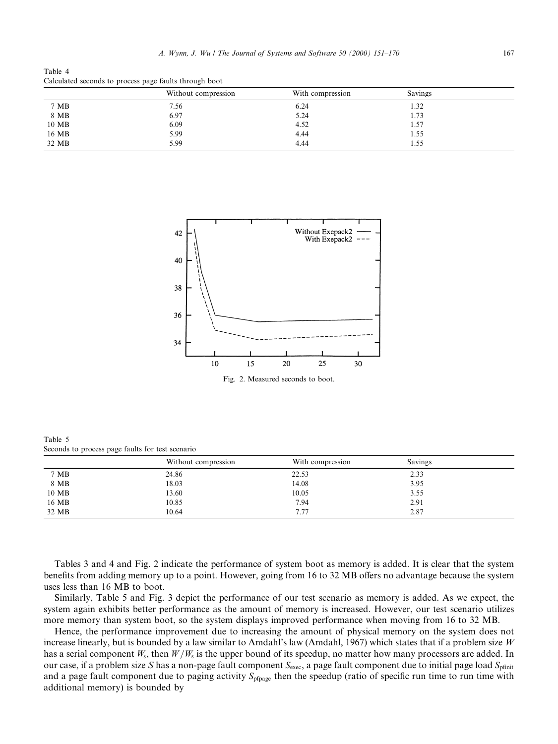Table 4 Calculated seconds to process page faults through boot

|       | Without compression | With compression | Savings |  |
|-------|---------------------|------------------|---------|--|
| 7 MB  | 7.56                | 6.24             | 1.32    |  |
| 8 MB  | 6.97                | 5.24             | 1.73    |  |
| 10 MB | 6.09                | 4.52             | 1.57    |  |
| 16 MB | 5.99                | 4.44             | 1.55    |  |
| 32 MB | 5.99                | 4.44             | 1.55    |  |



Table 5 Seconds to process page faults for test scenario

|       | Without compression | With compression | Savings |  |
|-------|---------------------|------------------|---------|--|
| 7 MB  | 24.86               | 22.53            | 2.33    |  |
| 8 MB  | 18.03               | 14.08            | 3.95    |  |
| 10 MB | 13.60               | 10.05            | 3.55    |  |
| 16 MB | 10.85               | 7.94             | 2.91    |  |
| 32 MB | 10.64               | 7.77             | 2.87    |  |

Tables 3 and 4 and Fig. 2 indicate the performance of system boot as memory is added. It is clear that the system benefits from adding memory up to a point. However, going from 16 to 32 MB offers no advantage because the system uses less than 16 MB to boot.

Similarly, Table 5 and Fig. 3 depict the performance of our test scenario as memory is added. As we expect, the system again exhibits better performance as the amount of memory is increased. However, our test scenario utilizes more memory than system boot, so the system displays improved performance when moving from 16 to 32 MB.

Hence, the performance improvement due to increasing the amount of physical memory on the system does not increase linearly, but is bounded by a law similar to Amdahl's law (Amdahl, 1967) which states that if a problem size W has a serial component  $W_s$ , then  $W/W_s$  is the upper bound of its speedup, no matter how many processors are added. In our case, if a problem size S has a non-page fault component  $S_{\text{exec}}$ , a page fault component due to initial page load  $S_{\text{pfinite}}$ and a page fault component due to paging activity  $S_{\text{pfhage}}$  then the speedup (ratio of specific run time to run time with additional memory) is bounded by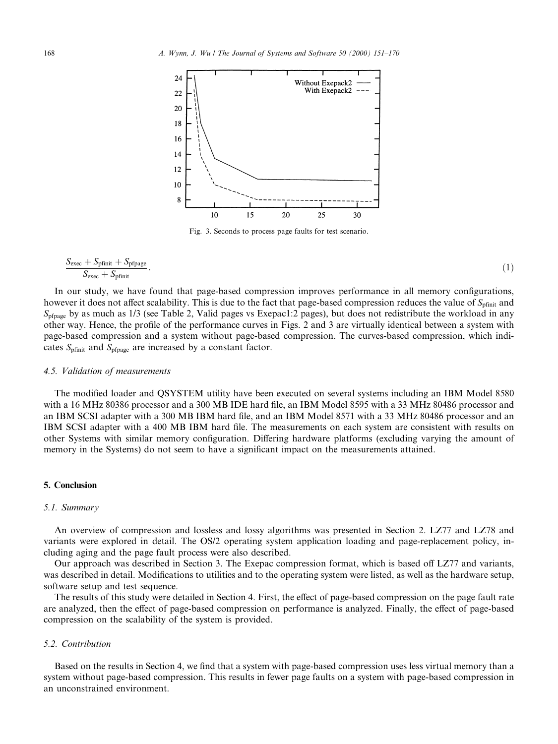

Fig. 3. Seconds to process page faults for test scenario.

$$
\frac{S_{\text{exec}} + S_{\text{pfinit}} + S_{\text{pfpage}}}{S_{\text{exec}} + S_{\text{pfinit}}}.\tag{1}
$$

In our study, we have found that page-based compression improves performance in all memory configurations, however it does not affect scalability. This is due to the fact that page-based compression reduces the value of  $S_{\text{pfinit}}$  and  $S_{\text{nfoase}}$  by as much as 1/3 (see Table 2, Valid pages vs Exepac1:2 pages), but does not redistribute the workload in any other way. Hence, the profile of the performance curves in Figs. 2 and 3 are virtually identical between a system with page-based compression and a system without page-based compression. The curves-based compression, which indicates  $S_{\text{pfinit}}$  and  $S_{\text{pfpage}}$  are increased by a constant factor.

### 4.5. Validation of measurements

The modified loader and QSYSTEM utility have been executed on several systems including an IBM Model 8580 with a 16 MHz 80386 processor and a 300 MB IDE hard file, an IBM Model 8595 with a 33 MHz 80486 processor and an IBM SCSI adapter with a 300 MB IBM hard file, and an IBM Model 8571 with a 33 MHz 80486 processor and an IBM SCSI adapter with a 400 MB IBM hard file. The measurements on each system are consistent with results on other Systems with similar memory configuration. Differing hardware platforms (excluding varying the amount of memory in the Systems) do not seem to have a significant impact on the measurements attained.

# 5. Conclusion

#### 5.1. Summary

An overview of compression and lossless and lossy algorithms was presented in Section 2. LZ77 and LZ78 and variants were explored in detail. The OS/2 operating system application loading and page-replacement policy, including aging and the page fault process were also described.

Our approach was described in Section 3. The Exepac compression format, which is based off LZ77 and variants, was described in detail. Modifications to utilities and to the operating system were listed, as well as the hardware setup, software setup and test sequence.

The results of this study were detailed in Section 4. First, the effect of page-based compression on the page fault rate are analyzed, then the effect of page-based compression on performance is analyzed. Finally, the effect of page-based compression on the scalability of the system is provided.

#### 5.2. Contribution

Based on the results in Section 4, we find that a system with page-based compression uses less virtual memory than a system without page-based compression. This results in fewer page faults on a system with page-based compression in an unconstrained environment.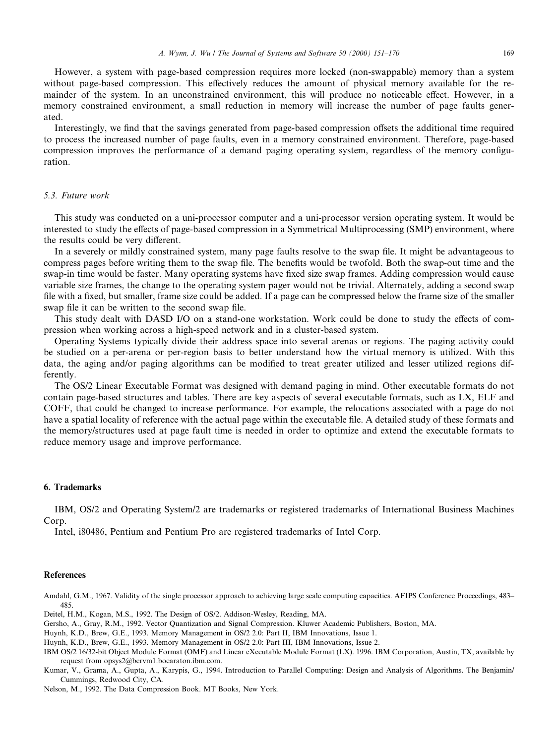However, a system with page-based compression requires more locked (non-swappable) memory than a system without page-based compression. This effectively reduces the amount of physical memory available for the remainder of the system. In an unconstrained environment, this will produce no noticeable effect. However, in a memory constrained environment, a small reduction in memory will increase the number of page faults generated.

Interestingly, we find that the savings generated from page-based compression offsets the additional time required to process the increased number of page faults, even in a memory constrained environment. Therefore, page-based compression improves the performance of a demand paging operating system, regardless of the memory configuration.

#### 5.3. Future work

This study was conducted on a uni-processor computer and a uni-processor version operating system. It would be interested to study the effects of page-based compression in a Symmetrical Multiprocessing (SMP) environment, where the results could be very different.

In a severely or mildly constrained system, many page faults resolve to the swap file. It might be advantageous to compress pages before writing them to the swap file. The benefits would be twofold. Both the swap-out time and the swap-in time would be faster. Many operating systems have fixed size swap frames. Adding compression would cause variable size frames, the change to the operating system pager would not be trivial. Alternately, adding a second swap file with a fixed, but smaller, frame size could be added. If a page can be compressed below the frame size of the smaller swap file it can be written to the second swap file.

This study dealt with DASD I/O on a stand-one workstation. Work could be done to study the effects of compression when working across a high-speed network and in a cluster-based system.

Operating Systems typically divide their address space into several arenas or regions. The paging activity could be studied on a per-arena or per-region basis to better understand how the virtual memory is utilized. With this data, the aging and/or paging algorithms can be modified to treat greater utilized and lesser utilized regions differently.

The OS/2 Linear Executable Format was designed with demand paging in mind. Other executable formats do not contain page-based structures and tables. There are key aspects of several executable formats, such as LX, ELF and COFF, that could be changed to increase performance. For example, the relocations associated with a page do not have a spatial locality of reference with the actual page within the executable file. A detailed study of these formats and the memory/structures used at page fault time is needed in order to optimize and extend the executable formats to reduce memory usage and improve performance.

#### 6. Trademarks

IBM, OS/2 and Operating System/2 are trademarks or registered trademarks of International Business Machines Corp.

Intel, i80486, Pentium and Pentium Pro are registered trademarks of Intel Corp.

### **References**

Amdahl, G.M., 1967. Validity of the single processor approach to achieving large scale computing capacities. AFIPS Conference Proceedings, 483-485.

Deitel, H.M., Kogan, M.S., 1992. The Design of OS/2. Addison-Wesley, Reading, MA.

Gersho, A., Gray, R.M., 1992. Vector Quantization and Signal Compression. Kluwer Academic Publishers, Boston, MA.

Huynh, K.D., Brew, G.E., 1993. Memory Management in OS/2 2.0: Part II, IBM Innovations, Issue 1.

Huynh, K.D., Brew, G.E., 1993. Memory Management in OS/2 2.0: Part III, IBM Innovations, Issue 2.

IBM OS/2 16/32-bit Object Module Format (OMF) and Linear eXecutable Module Format (LX). 1996. IBM Corporation, Austin, TX, available by request from opsys2@bcrvm1.bocaraton.ibm.com.

Kumar, V., Grama, A., Gupta, A., Karypis, G., 1994. Introduction to Parallel Computing: Design and Analysis of Algorithms. The Benjamin/ Cummings, Redwood City, CA.

Nelson, M., 1992. The Data Compression Book. MT Books, New York.